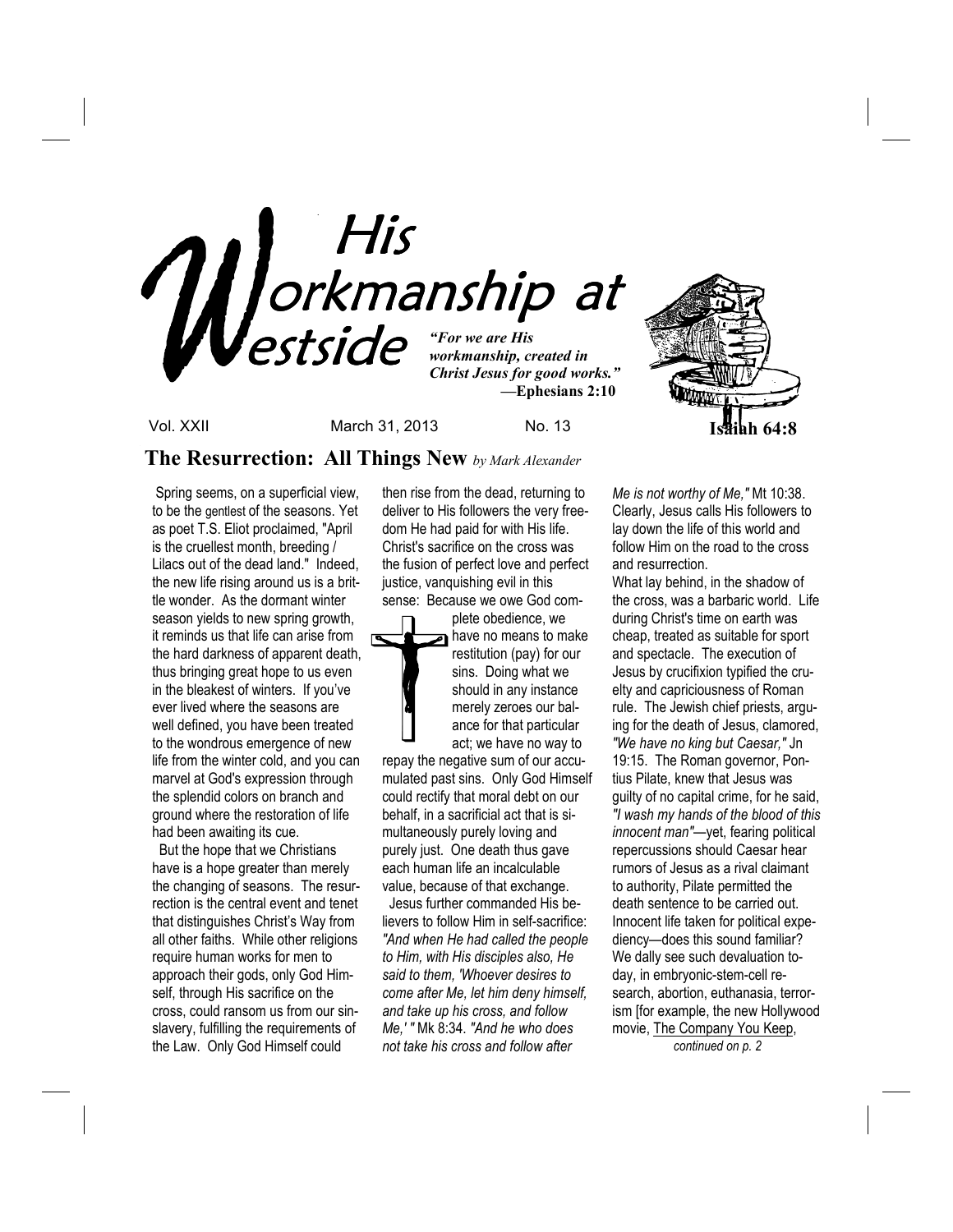

Vol. XXII March 31, 2013 No. 13 **Isaiah 64:8**

# **The Resurrection: All Things New** *by Mark Alexander*

 Spring seems, on a superficial view, to be the gentlest of the seasons. Yet as poet T.S. Eliot proclaimed, "April is the cruellest month, breeding / Lilacs out of the dead land." Indeed, the new life rising around us is a brittle wonder. As the dormant winter season yields to new spring growth, it reminds us that life can arise from the hard darkness of apparent death, thus bringing great hope to us even in the bleakest of winters. If you've ever lived where the seasons are well defined, you have been treated to the wondrous emergence of new life from the winter cold, and you can marvel at God's expression through the splendid colors on branch and ground where the restoration of life had been awaiting its cue.

 But the hope that we Christians have is a hope greater than merely the changing of seasons. The resurrection is the central event and tenet that distinguishes Christ's Way from all other faiths. While other religions require human works for men to approach their gods, only God Himself, through His sacrifice on the cross, could ransom us from our sinslavery, fulfilling the requirements of the Law. Only God Himself could

then rise from the dead, returning to deliver to His followers the very freedom He had paid for with His life. Christ's sacrifice on the cross was the fusion of perfect love and perfect justice, vanquishing evil in this sense: Because we owe God com-

plete obedience, we have no means to make restitution (pay) for our sins. Doing what we should in any instance merely zeroes our balance for that particular act; we have no way to

repay the negative sum of our accumulated past sins. Only God Himself could rectify that moral debt on our behalf, in a sacrificial act that is simultaneously purely loving and purely just. One death thus gave each human life an incalculable value, because of that exchange.

 Jesus further commanded His believers to follow Him in self-sacrifice: *"And when He had called the people to Him, with His disciples also, He said to them, 'Whoever desires to come after Me, let him deny himself, and take up his cross, and follow Me,' "* Mk 8:34. *"And he who does not take his cross and follow after* 

*Me is not worthy of Me,"* Mt 10:38. Clearly, Jesus calls His followers to lay down the life of this world and follow Him on the road to the cross and resurrection.

What lay behind, in the shadow of the cross, was a barbaric world. Life during Christ's time on earth was cheap, treated as suitable for sport and spectacle. The execution of Jesus by crucifixion typified the cruelty and capriciousness of Roman rule. The Jewish chief priests, arguing for the death of Jesus, clamored, *"We have no king but Caesar,"* Jn 19:15. The Roman governor, Pontius Pilate, knew that Jesus was guilty of no capital crime, for he said, *"I wash my hands of the blood of this innocent man"*—yet, fearing political repercussions should Caesar hear rumors of Jesus as a rival claimant to authority, Pilate permitted the death sentence to be carried out. Innocent life taken for political expediency—does this sound familiar? We dally see such devaluation today, in embryonic-stem-cell research, abortion, euthanasia, terrorism [for example, the new Hollywood movie, The Company You Keep, *continued on p. 2*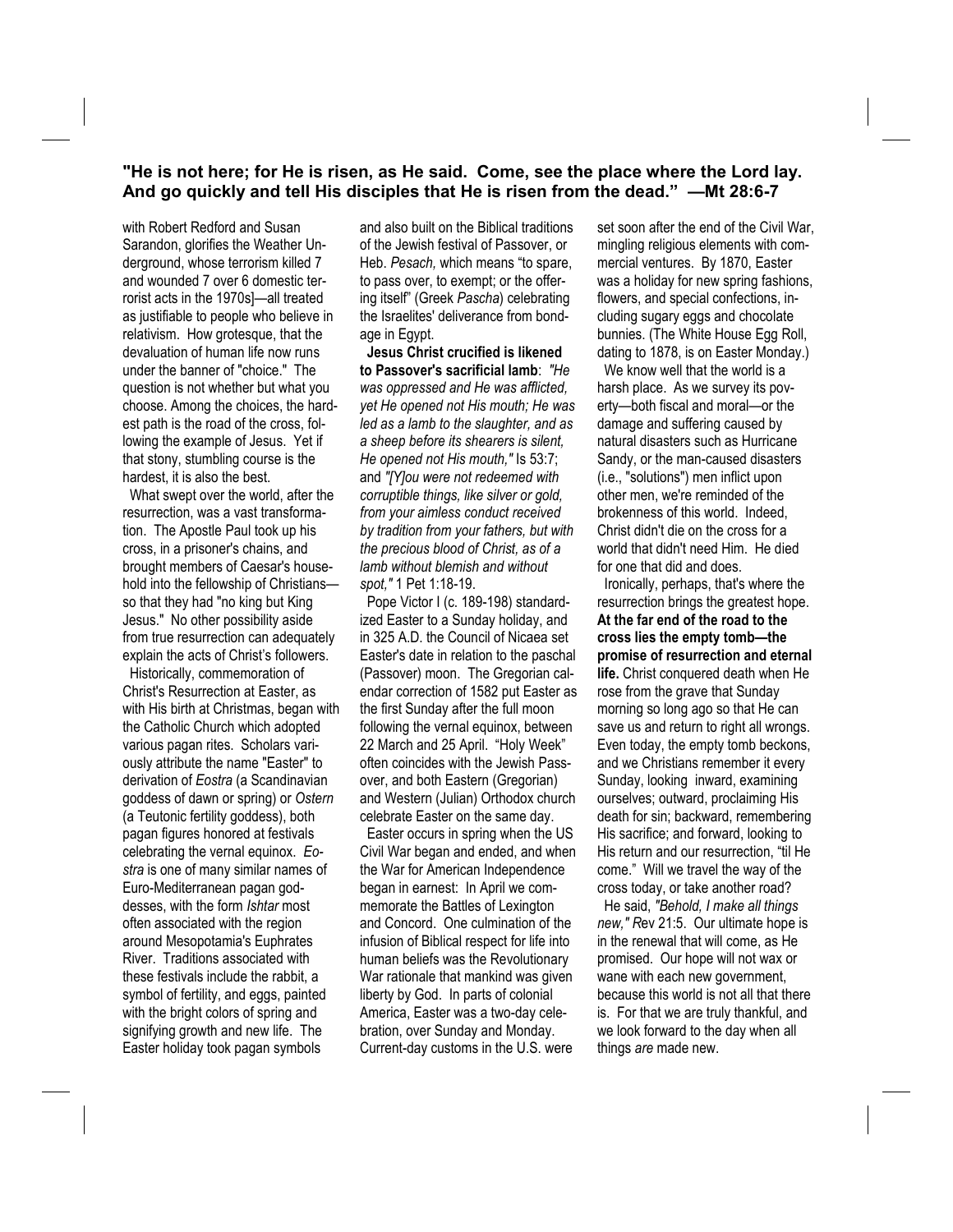## **"He is not here; for He is risen, as He said. Come, see the place where the Lord lay. And go quickly and tell His disciples that He is risen from the dead." —Mt 28:6-7**

with Robert Redford and Susan Sarandon, glorifies the Weather Underground, whose terrorism killed 7 and wounded 7 over 6 domestic terrorist acts in the 1970s]—all treated as justifiable to people who believe in relativism. How grotesque, that the devaluation of human life now runs under the banner of "choice." The question is not whether but what you choose. Among the choices, the hardest path is the road of the cross, following the example of Jesus. Yet if that stony, stumbling course is the hardest, it is also the best.

 What swept over the world, after the resurrection, was a vast transformation. The Apostle Paul took up his cross, in a prisoner's chains, and brought members of Caesar's household into the fellowship of Christians so that they had "no king but King Jesus." No other possibility aside from true resurrection can adequately explain the acts of Christ's followers.

 Historically, commemoration of Christ's Resurrection at Easter, as with His birth at Christmas, began with the Catholic Church which adopted various pagan rites. Scholars variously attribute the name "Easter" to derivation of *Eostra* (a Scandinavian goddess of dawn or spring) or *Ostern* (a Teutonic fertility goddess), both pagan figures honored at festivals celebrating the vernal equinox. *Eostra* is one of many similar names of Euro-Mediterranean pagan goddesses, with the form *Ishtar* most often associated with the region around Mesopotamia's Euphrates River. Traditions associated with these festivals include the rabbit, a symbol of fertility, and eggs, painted with the bright colors of spring and signifying growth and new life. The Easter holiday took pagan symbols

and also built on the Biblical traditions of the Jewish festival of Passover, or Heb. *Pesach,* which means "to spare, to pass over, to exempt; or the offering itself" (Greek *Pascha*) celebrating the Israelites' deliverance from bondage in Egypt.

 **Jesus Christ crucified is likened to Passover's sacrificial lamb**: *"He was oppressed and He was afflicted, yet He opened not His mouth; He was led as a lamb to the slaughter, and as a sheep before its shearers is silent, He opened not His mouth,"* Is 53:7; and *"[Y]ou were not redeemed with corruptible things, like silver or gold, from your aimless conduct received by tradition from your fathers, but with the precious blood of Christ, as of a lamb without blemish and without spot,"* 1 Pet 1:18-19.

 Pope Victor I (c. 189-198) standardized Easter to a Sunday holiday, and in 325 A.D. the Council of Nicaea set Easter's date in relation to the paschal (Passover) moon. The Gregorian calendar correction of 1582 put Easter as the first Sunday after the full moon following the vernal equinox, between 22 March and 25 April. "Holy Week" often coincides with the Jewish Passover, and both Eastern (Gregorian) and Western (Julian) Orthodox church celebrate Easter on the same day.

 Easter occurs in spring when the US Civil War began and ended, and when the War for American Independence began in earnest: In April we commemorate the Battles of Lexington and Concord. One culmination of the infusion of Biblical respect for life into human beliefs was the Revolutionary War rationale that mankind was given liberty by God. In parts of colonial America, Easter was a two-day celebration, over Sunday and Monday. Current-day customs in the U.S. were

set soon after the end of the Civil War, mingling religious elements with commercial ventures. By 1870, Easter was a holiday for new spring fashions, flowers, and special confections, including sugary eggs and chocolate bunnies. (The White House Egg Roll, dating to 1878, is on Easter Monday.)

 We know well that the world is a harsh place. As we survey its poverty—both fiscal and moral—or the damage and suffering caused by natural disasters such as Hurricane Sandy, or the man-caused disasters (i.e., "solutions") men inflict upon other men, we're reminded of the brokenness of this world. Indeed, Christ didn't die on the cross for a world that didn't need Him. He died for one that did and does.

 Ironically, perhaps, that's where the resurrection brings the greatest hope. **At the far end of the road to the cross lies the empty tomb—the promise of resurrection and eternal life.** Christ conquered death when He rose from the grave that Sunday morning so long ago so that He can save us and return to right all wrongs. Even today, the empty tomb beckons, and we Christians remember it every Sunday, looking inward, examining ourselves; outward, proclaiming His death for sin; backward, remembering His sacrifice; and forward, looking to His return and our resurrection, "til He come." Will we travel the way of the cross today, or take another road?

 He said, *"Behold, I make all things new," R*ev 21:5. Our ultimate hope is in the renewal that will come, as He promised. Our hope will not wax or wane with each new government, because this world is not all that there is. For that we are truly thankful, and we look forward to the day when all things *are* made new.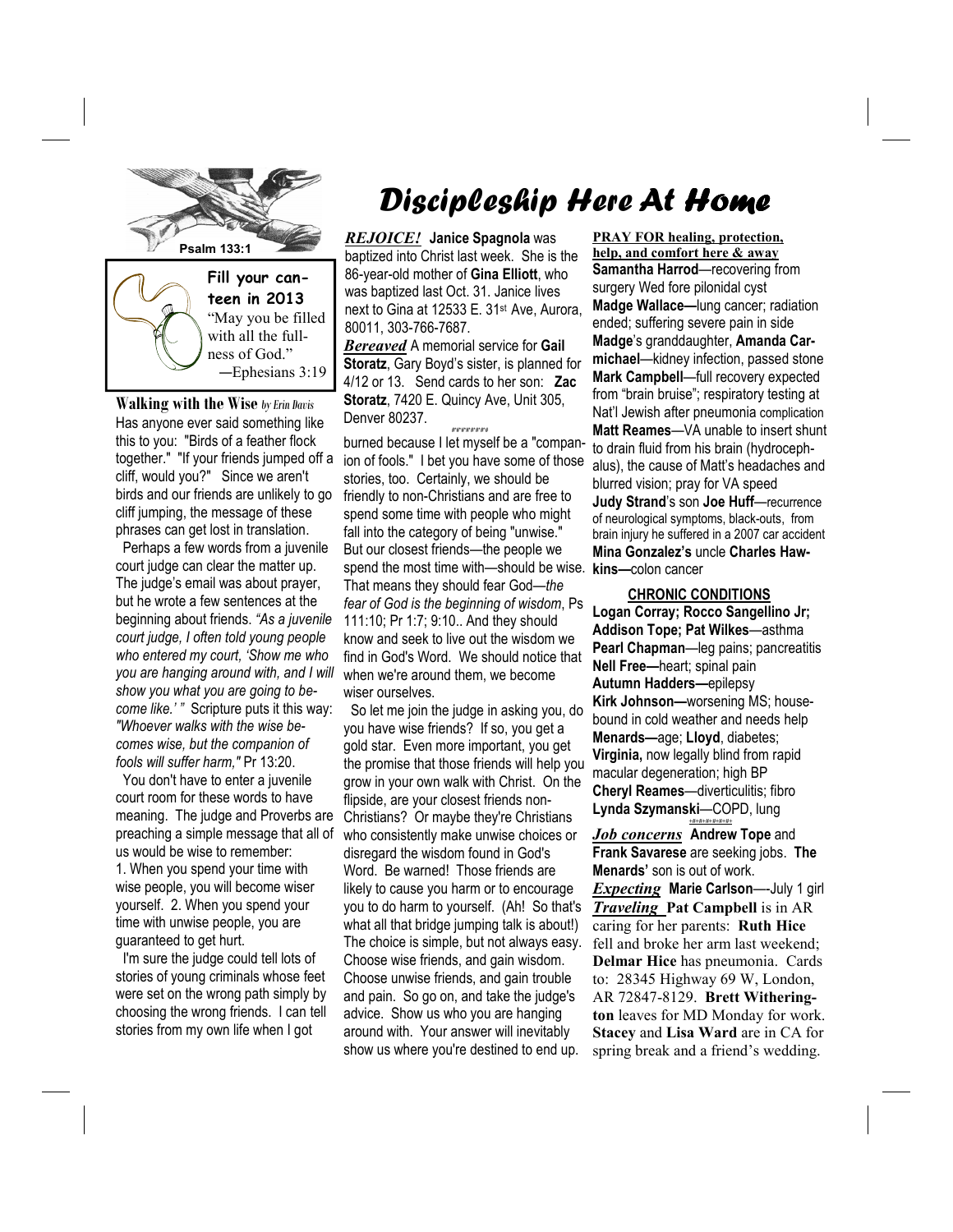

**Walking with the Wise** *by Erin Davis*  Has anyone ever said something like this to you: "Birds of a feather flock together." "If your friends jumped off a cliff, would you?" Since we aren't birds and our friends are unlikely to go cliff jumping, the message of these phrases can get lost in translation.

 Perhaps a few words from a juvenile court judge can clear the matter up. The judge's email was about prayer, but he wrote a few sentences at the beginning about friends. *"As a juvenile court judge, I often told young people who entered my court, 'Show me who you are hanging around with, and I will show you what you are going to become like.' "* Scripture puts it this way: *"Whoever walks with the wise becomes wise, but the companion of fools will suffer harm,"* Pr 13:20.

 You don't have to enter a juvenile court room for these words to have meaning. The judge and Proverbs are preaching a simple message that all of us would be wise to remember: 1. When you spend your time with wise people, you will become wiser yourself. 2. When you spend your time with unwise people, you are guaranteed to get hurt.

 I'm sure the judge could tell lots of stories of young criminals whose feet were set on the wrong path simply by choosing the wrong friends. I can tell stories from my own life when I got

# Discipleship Here At Home

*REJOICE!* **Janice Spagnola** was baptized into Christ last week. She is the 86-year-old mother of **Gina Elliott**, who was baptized last Oct. 31. Janice lives next to Gina at 12533 E. 31st Ave, Aurora, 80011, 303-766-7687.

*Bereaved* A memorial service for **Gail Storatz**, Gary Boyd's sister, is planned for 4/12 or 13. Send cards to her son: **Zac Storatz**, 7420 E. Quincy Ave, Unit 305, Denver 80237. #\*#\*#\*#\*#\*#\*#\*#

burned because I let myself be a "companion of fools." I bet you have some of those stories, too. Certainly, we should be friendly to non-Christians and are free to spend some time with people who might fall into the category of being "unwise." But our closest friends—the people we spend the most time with—should be wise. **kins—**colon cancer That means they should fear God—*the fear of God is the beginning of wisdom*, Ps 111:10; Pr 1:7; 9:10.. And they should know and seek to live out the wisdom we find in God's Word. We should notice that when we're around them, we become wiser ourselves.

 So let me join the judge in asking you, do you have wise friends? If so, you get a gold star. Even more important, you get the promise that those friends will help you grow in your own walk with Christ. On the flipside, are your closest friends non-Christians? Or maybe they're Christians who consistently make unwise choices or disregard the wisdom found in God's Word. Be warned! Those friends are likely to cause you harm or to encourage you to do harm to yourself. (Ah! So that's what all that bridge jumping talk is about!) The choice is simple, but not always easy. Choose wise friends, and gain wisdom. Choose unwise friends, and gain trouble and pain. So go on, and take the judge's advice. Show us who you are hanging around with. Your answer will inevitably show us where you're destined to end up.

**PRAY FOR healing, protection, help, and comfort here & away Samantha Harrod**—recovering from surgery Wed fore pilonidal cyst **Madge Wallace—**lung cancer; radiation ended; suffering severe pain in side **Madge**'s granddaughter, **Amanda Carmichael**—kidney infection, passed stone **Mark Campbell**—full recovery expected from "brain bruise"; respiratory testing at Nat'l Jewish after pneumonia complication **Matt Reames**—VA unable to insert shunt to drain fluid from his brain (hydrocephalus), the cause of Matt's headaches and blurred vision; pray for VA speed **Judy Strand**'s son **Joe Huff**—recurrence of neurological symptoms, black-outs, from brain injury he suffered in a 2007 car accident **Mina Gonzalez's** uncle **Charles Haw-**

 **CHRONIC CONDITIONS Logan Corray; Rocco Sangellino Jr; Addison Tope; Pat Wilkes**—asthma **Pearl Chapman**—leg pains; pancreatitis **Nell Free—**heart; spinal pain **Autumn Hadders—**epilepsy **Kirk Johnson—**worsening MS; housebound in cold weather and needs help **Menards—**age; **Lloyd**, diabetes; **Virginia,** now legally blind from rapid macular degeneration; high BP **Cheryl Reames**—diverticulitis; fibro **Lynda Szymanski**—COPD, lung

*Job concerns* **Andrew Tope** and **Frank Savarese** are seeking jobs. **The Menards'** son is out of work. *Expecting* **Marie Carlson**—-July 1 girl *Traveling* **Pat Campbell** is in AR caring for her parents: **Ruth Hice**  fell and broke her arm last weekend; **Delmar Hice** has pneumonia. Cards to: 28345 Highway 69 W, London, AR 72847-8129. **Brett Witherington** leaves for MD Monday for work. **Stacey** and **Lisa Ward** are in CA for spring break and a friend's wedding.

*+#+#+#+#+#+#+*